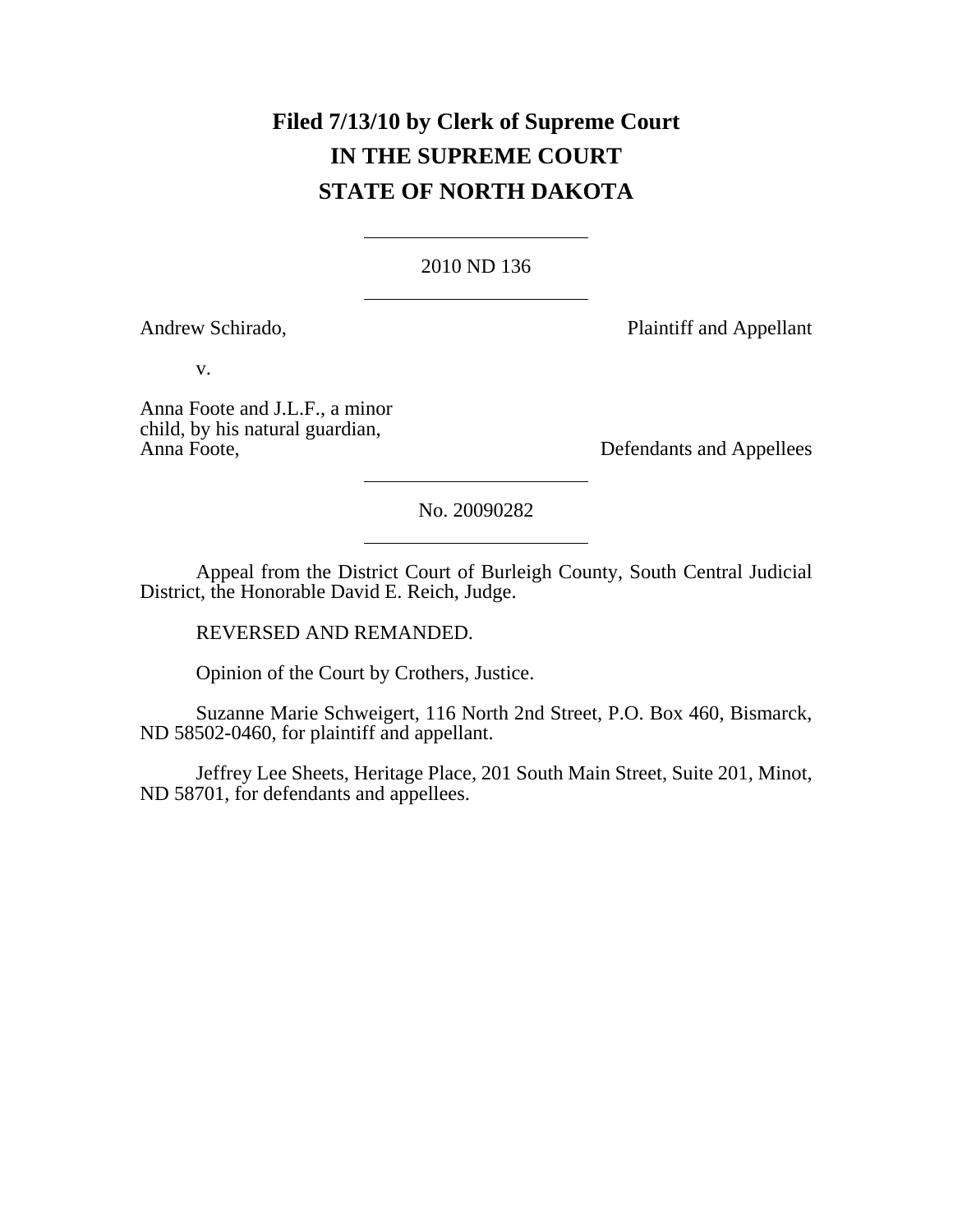# **Filed 7/13/10 by Clerk of Supreme Court IN THE SUPREME COURT STATE OF NORTH DAKOTA**

# 2010 ND 136

Andrew Schirado, Plaintiff and Appellant

v.

Anna Foote and J.L.F., a minor child, by his natural guardian,

Defendants and Appellees

No. 20090282

Appeal from the District Court of Burleigh County, South Central Judicial District, the Honorable David E. Reich, Judge.

REVERSED AND REMANDED.

Opinion of the Court by Crothers, Justice.

Suzanne Marie Schweigert, 116 North 2nd Street, P.O. Box 460, Bismarck, ND 58502-0460, for plaintiff and appellant.

Jeffrey Lee Sheets, Heritage Place, 201 South Main Street, Suite 201, Minot, ND 58701, for defendants and appellees.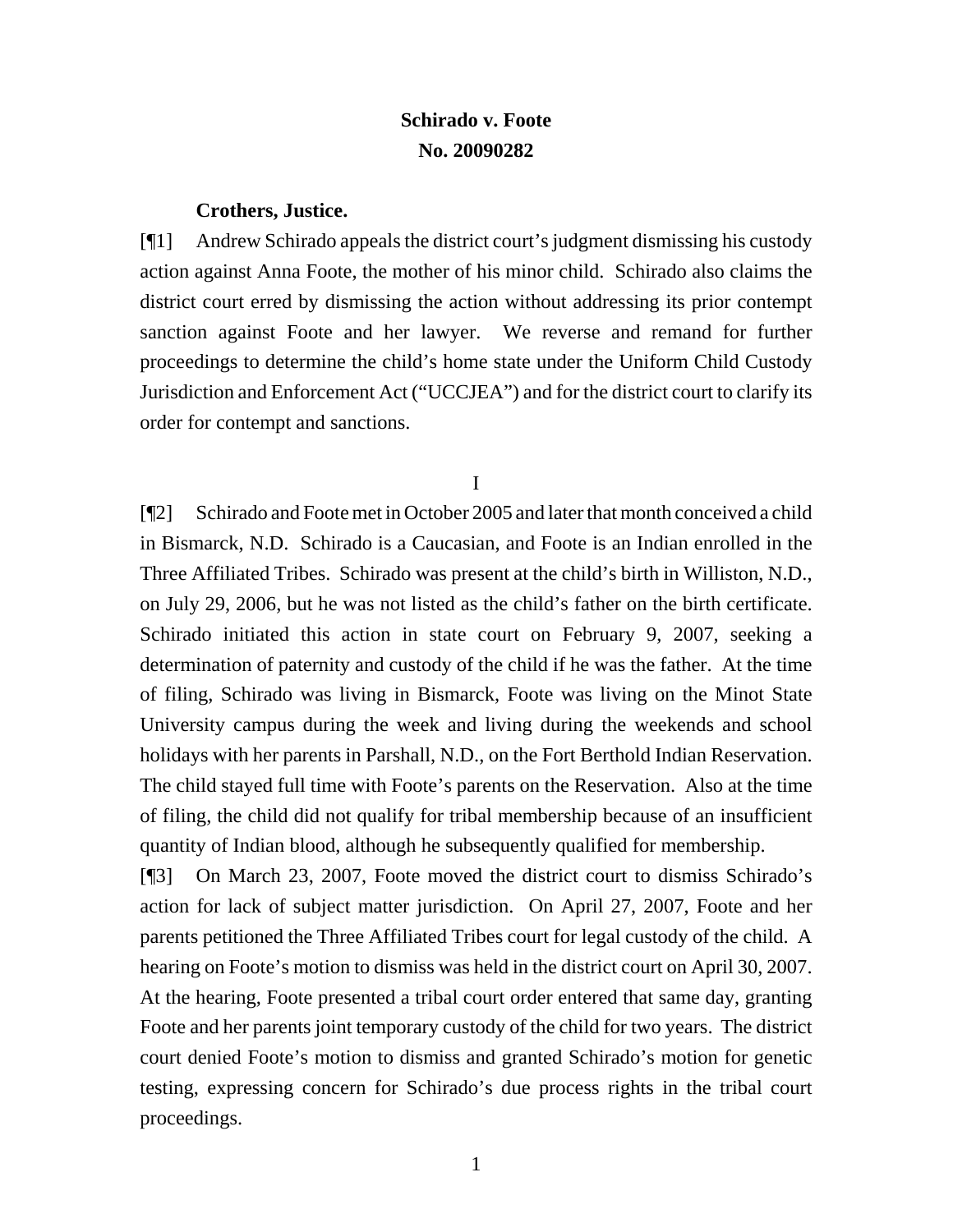# **Schirado v. Foote No. 20090282**

#### **Crothers, Justice.**

[¶1] Andrew Schirado appeals the district court's judgment dismissing his custody action against Anna Foote, the mother of his minor child. Schirado also claims the district court erred by dismissing the action without addressing its prior contempt sanction against Foote and her lawyer. We reverse and remand for further proceedings to determine the child's home state under the Uniform Child Custody Jurisdiction and Enforcement Act ("UCCJEA") and for the district court to clarify its order for contempt and sanctions.

I

[¶2] Schirado and Foote met in October 2005 and later that month conceived a child in Bismarck, N.D. Schirado is a Caucasian, and Foote is an Indian enrolled in the Three Affiliated Tribes. Schirado was present at the child's birth in Williston, N.D., on July 29, 2006, but he was not listed as the child's father on the birth certificate. Schirado initiated this action in state court on February 9, 2007, seeking a determination of paternity and custody of the child if he was the father. At the time of filing, Schirado was living in Bismarck, Foote was living on the Minot State University campus during the week and living during the weekends and school holidays with her parents in Parshall, N.D., on the Fort Berthold Indian Reservation. The child stayed full time with Foote's parents on the Reservation. Also at the time of filing, the child did not qualify for tribal membership because of an insufficient quantity of Indian blood, although he subsequently qualified for membership.

[¶3] On March 23, 2007, Foote moved the district court to dismiss Schirado's action for lack of subject matter jurisdiction. On April 27, 2007, Foote and her parents petitioned the Three Affiliated Tribes court for legal custody of the child. A hearing on Foote's motion to dismiss was held in the district court on April 30, 2007. At the hearing, Foote presented a tribal court order entered that same day, granting Foote and her parents joint temporary custody of the child for two years. The district court denied Foote's motion to dismiss and granted Schirado's motion for genetic testing, expressing concern for Schirado's due process rights in the tribal court proceedings.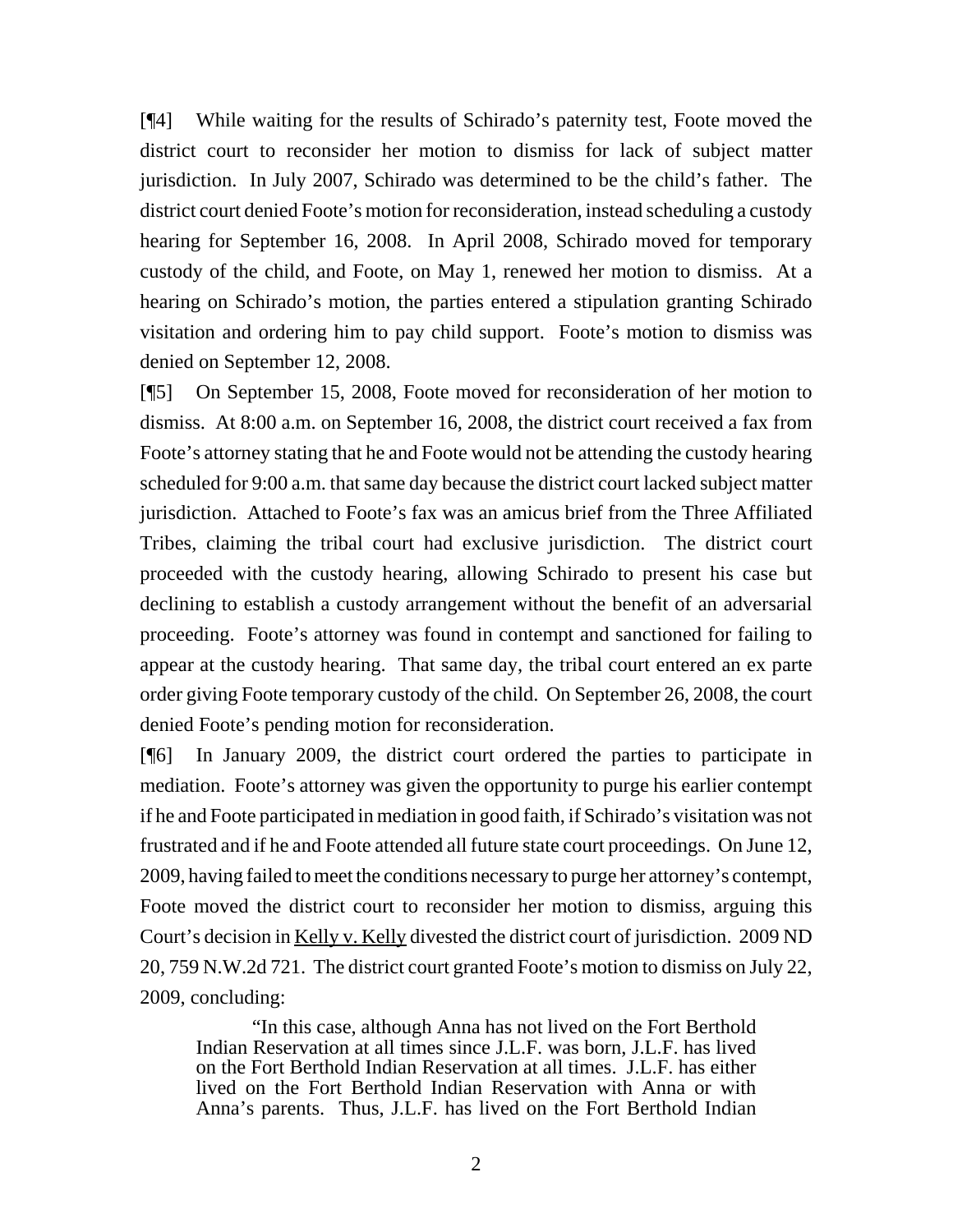[¶4] While waiting for the results of Schirado's paternity test, Foote moved the district court to reconsider her motion to dismiss for lack of subject matter jurisdiction. In July 2007, Schirado was determined to be the child's father. The district court denied Foote's motion for reconsideration, instead scheduling a custody hearing for September 16, 2008. In April 2008, Schirado moved for temporary custody of the child, and Foote, on May 1, renewed her motion to dismiss. At a hearing on Schirado's motion, the parties entered a stipulation granting Schirado visitation and ordering him to pay child support. Foote's motion to dismiss was denied on September 12, 2008.

[¶5] On September 15, 2008, Foote moved for reconsideration of her motion to dismiss. At 8:00 a.m. on September 16, 2008, the district court received a fax from Foote's attorney stating that he and Foote would not be attending the custody hearing scheduled for 9:00 a.m. that same day because the district court lacked subject matter jurisdiction. Attached to Foote's fax was an amicus brief from the Three Affiliated Tribes, claiming the tribal court had exclusive jurisdiction. The district court proceeded with the custody hearing, allowing Schirado to present his case but declining to establish a custody arrangement without the benefit of an adversarial proceeding. Foote's attorney was found in contempt and sanctioned for failing to appear at the custody hearing. That same day, the tribal court entered an ex parte order giving Foote temporary custody of the child. On September 26, 2008, the court denied Foote's pending motion for reconsideration.

[¶6] In January 2009, the district court ordered the parties to participate in mediation. Foote's attorney was given the opportunity to purge his earlier contempt if he and Foote participated in mediation in good faith, if Schirado's visitation was not frustrated and if he and Foote attended all future state court proceedings. On June 12, 2009, having failed to meet the conditions necessary to purge her attorney's contempt, Foote moved the district court to reconsider her motion to dismiss, arguing this Court's decision in Kelly v. Kelly divested the district court of jurisdiction. 2009 ND 20, 759 N.W.2d 721. The district court granted Foote's motion to dismiss on July 22, 2009, concluding:

"In this case, although Anna has not lived on the Fort Berthold Indian Reservation at all times since J.L.F. was born, J.L.F. has lived on the Fort Berthold Indian Reservation at all times. J.L.F. has either lived on the Fort Berthold Indian Reservation with Anna or with Anna's parents. Thus, J.L.F. has lived on the Fort Berthold Indian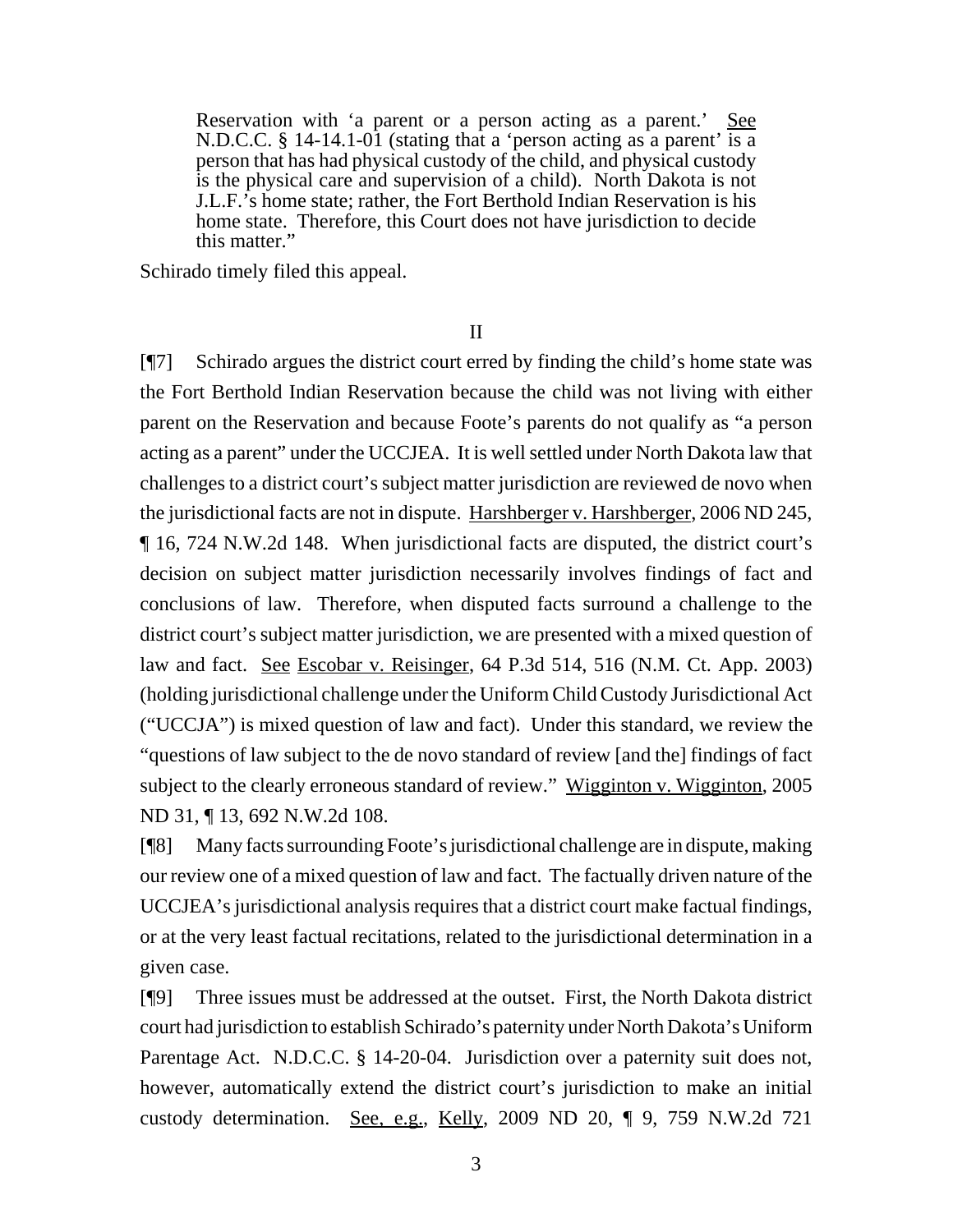Reservation with 'a parent or a person acting as a parent.' See N.D.C.C. § 14-14.1-01 (stating that a 'person acting as a parent' is a person that has had physical custody of the child, and physical custody is the physical care and supervision of a child). North Dakota is not J.L.F.'s home state; rather, the Fort Berthold Indian Reservation is his home state. Therefore, this Court does not have jurisdiction to decide this matter."

Schirado timely filed this appeal.

II

[¶7] Schirado argues the district court erred by finding the child's home state was the Fort Berthold Indian Reservation because the child was not living with either parent on the Reservation and because Foote's parents do not qualify as "a person acting as a parent" under the UCCJEA. It is well settled under North Dakota law that challenges to a district court's subject matter jurisdiction are reviewed de novo when the jurisdictional facts are not in dispute. Harshberger v. Harshberger, 2006 ND 245, ¶ 16, 724 N.W.2d 148. When jurisdictional facts are disputed, the district court's decision on subject matter jurisdiction necessarily involves findings of fact and conclusions of law. Therefore, when disputed facts surround a challenge to the district court's subject matter jurisdiction, we are presented with a mixed question of law and fact. See Escobar v. Reisinger, 64 P.3d 514, 516 (N.M. Ct. App. 2003) (holding jurisdictional challenge under the Uniform Child Custody Jurisdictional Act ("UCCJA") is mixed question of law and fact). Under this standard, we review the "questions of law subject to the de novo standard of review [and the] findings of fact subject to the clearly erroneous standard of review." Wigginton v. Wigginton, 2005 ND 31, ¶ 13, 692 N.W.2d 108.

[¶8] Many facts surrounding Foote's jurisdictional challenge are in dispute, making our review one of a mixed question of law and fact. The factually driven nature of the UCCJEA's jurisdictional analysis requires that a district court make factual findings, or at the very least factual recitations, related to the jurisdictional determination in a given case.

[¶9] Three issues must be addressed at the outset. First, the North Dakota district court had jurisdiction to establish Schirado's paternity under North Dakota's Uniform Parentage Act. N.D.C.C. § 14-20-04. Jurisdiction over a paternity suit does not, however, automatically extend the district court's jurisdiction to make an initial custody determination. See, e.g., Kelly, 2009 ND 20,  $\P$  9, 759 N.W.2d 721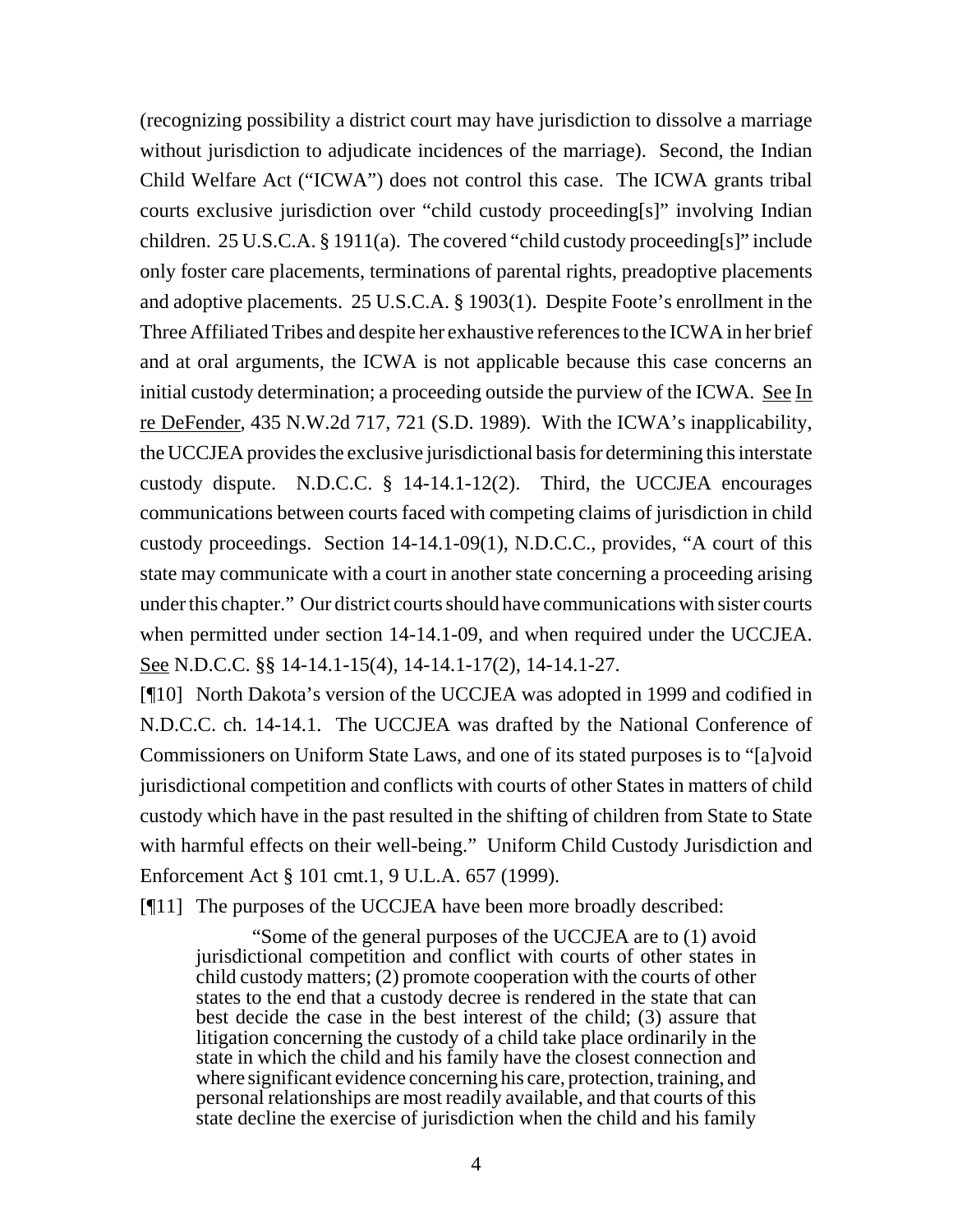(recognizing possibility a district court may have jurisdiction to dissolve a marriage without jurisdiction to adjudicate incidences of the marriage). Second, the Indian Child Welfare Act ("ICWA") does not control this case. The ICWA grants tribal courts exclusive jurisdiction over "child custody proceeding[s]" involving Indian children. 25 U.S.C.A. § 1911(a). The covered "child custody proceeding[s]" include only foster care placements, terminations of parental rights, preadoptive placements and adoptive placements. 25 U.S.C.A. § 1903(1). Despite Foote's enrollment in the Three Affiliated Tribes and despite her exhaustive references to the ICWA in her brief and at oral arguments, the ICWA is not applicable because this case concerns an initial custody determination; a proceeding outside the purview of the ICWA. See In re DeFender, 435 N.W.2d 717, 721 (S.D. 1989). With the ICWA's inapplicability, the UCCJEA provides the exclusive jurisdictional basis for determining this interstate custody dispute. N.D.C.C. § 14-14.1-12(2). Third, the UCCJEA encourages communications between courts faced with competing claims of jurisdiction in child custody proceedings. Section 14-14.1-09(1), N.D.C.C., provides, "A court of this state may communicate with a court in another state concerning a proceeding arising under this chapter." Our district courts should have communications with sister courts when permitted under section 14-14.1-09, and when required under the UCCJEA. See N.D.C.C. §§ 14-14.1-15(4), 14-14.1-17(2), 14-14.1-27.

[¶10] North Dakota's version of the UCCJEA was adopted in 1999 and codified in N.D.C.C. ch. 14-14.1. The UCCJEA was drafted by the National Conference of Commissioners on Uniform State Laws, and one of its stated purposes is to "[a]void jurisdictional competition and conflicts with courts of other States in matters of child custody which have in the past resulted in the shifting of children from State to State with harmful effects on their well-being." Uniform Child Custody Jurisdiction and Enforcement Act § 101 cmt.1, 9 U.L.A. 657 (1999).

[¶11] The purposes of the UCCJEA have been more broadly described:

"Some of the general purposes of the UCCJEA are to (1) avoid jurisdictional competition and conflict with courts of other states in child custody matters; (2) promote cooperation with the courts of other states to the end that a custody decree is rendered in the state that can best decide the case in the best interest of the child; (3) assure that litigation concerning the custody of a child take place ordinarily in the state in which the child and his family have the closest connection and where significant evidence concerning his care, protection, training, and personal relationships are most readily available, and that courts of this state decline the exercise of jurisdiction when the child and his family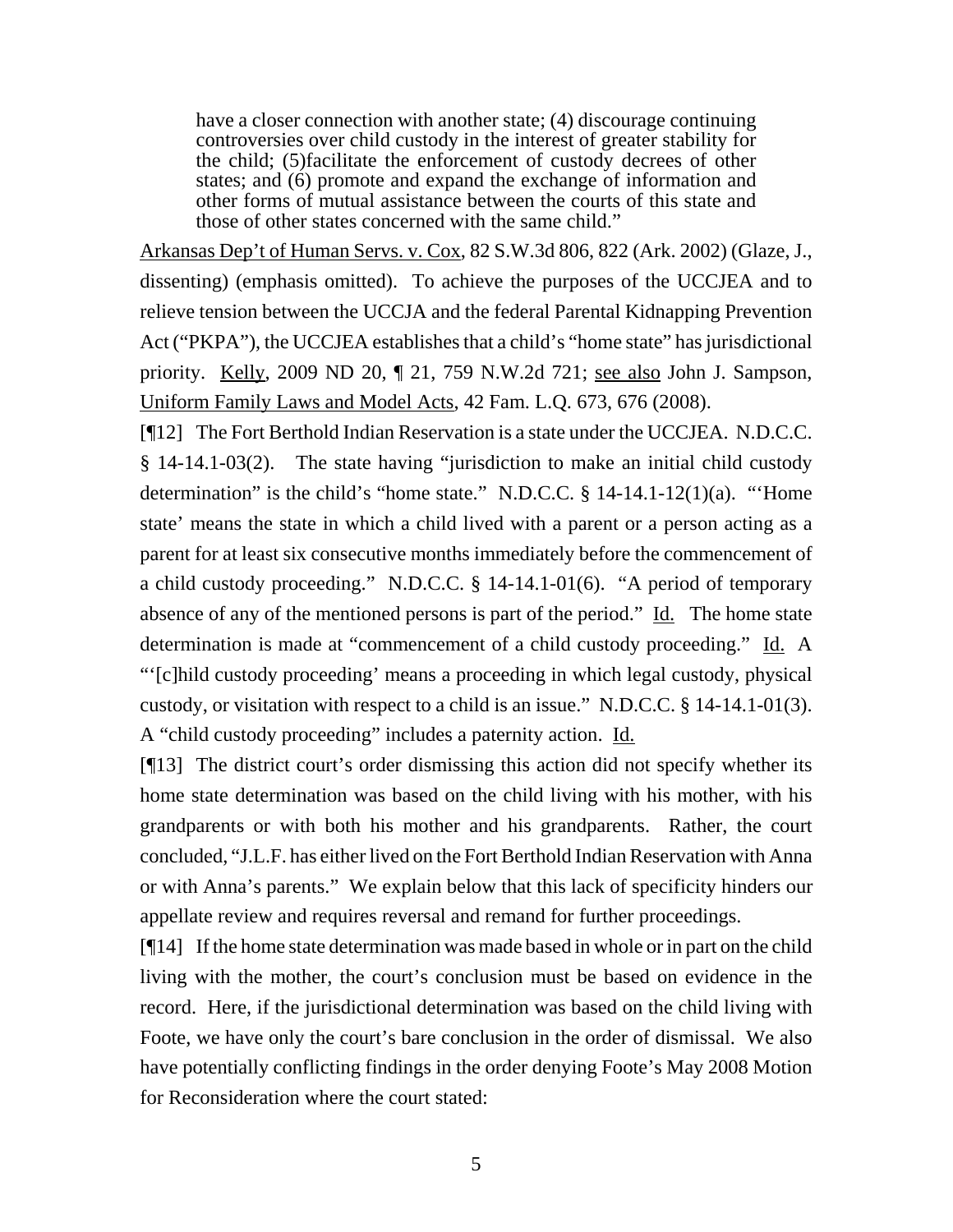have a closer connection with another state; (4) discourage continuing controversies over child custody in the interest of greater stability for the child; (5)facilitate the enforcement of custody decrees of other states; and (6) promote and expand the exchange of information and other forms of mutual assistance between the courts of this state and those of other states concerned with the same child."

Arkansas Dep't of Human Servs. v. Cox, 82 S.W.3d 806, 822 (Ark. 2002) (Glaze, J., dissenting) (emphasis omitted). To achieve the purposes of the UCCJEA and to relieve tension between the UCCJA and the federal Parental Kidnapping Prevention Act ("PKPA"), the UCCJEA establishes that a child's "home state" has jurisdictional priority. Kelly, 2009 ND 20, ¶ 21, 759 N.W.2d 721; see also John J. Sampson, Uniform Family Laws and Model Acts, 42 Fam. L.Q. 673, 676 (2008).

[¶12] The Fort Berthold Indian Reservation is a state under the UCCJEA. N.D.C.C. § 14-14.1-03(2). The state having "jurisdiction to make an initial child custody determination" is the child's "home state." N.D.C.C. § 14-14.1-12(1)(a). "'Home state' means the state in which a child lived with a parent or a person acting as a parent for at least six consecutive months immediately before the commencement of a child custody proceeding." N.D.C.C. § 14-14.1-01(6). "A period of temporary absence of any of the mentioned persons is part of the period."  $\underline{Id}$ . The home state determination is made at "commencement of a child custody proceeding." Id. A "'[c]hild custody proceeding' means a proceeding in which legal custody, physical custody, or visitation with respect to a child is an issue." N.D.C.C. § 14-14.1-01(3). A "child custody proceeding" includes a paternity action. Id.

[¶13] The district court's order dismissing this action did not specify whether its home state determination was based on the child living with his mother, with his grandparents or with both his mother and his grandparents. Rather, the court concluded, "J.L.F. has either lived on the Fort Berthold Indian Reservation with Anna or with Anna's parents." We explain below that this lack of specificity hinders our appellate review and requires reversal and remand for further proceedings.

[¶14] If the home state determination was made based in whole or in part on the child living with the mother, the court's conclusion must be based on evidence in the record. Here, if the jurisdictional determination was based on the child living with Foote, we have only the court's bare conclusion in the order of dismissal. We also have potentially conflicting findings in the order denying Foote's May 2008 Motion for Reconsideration where the court stated: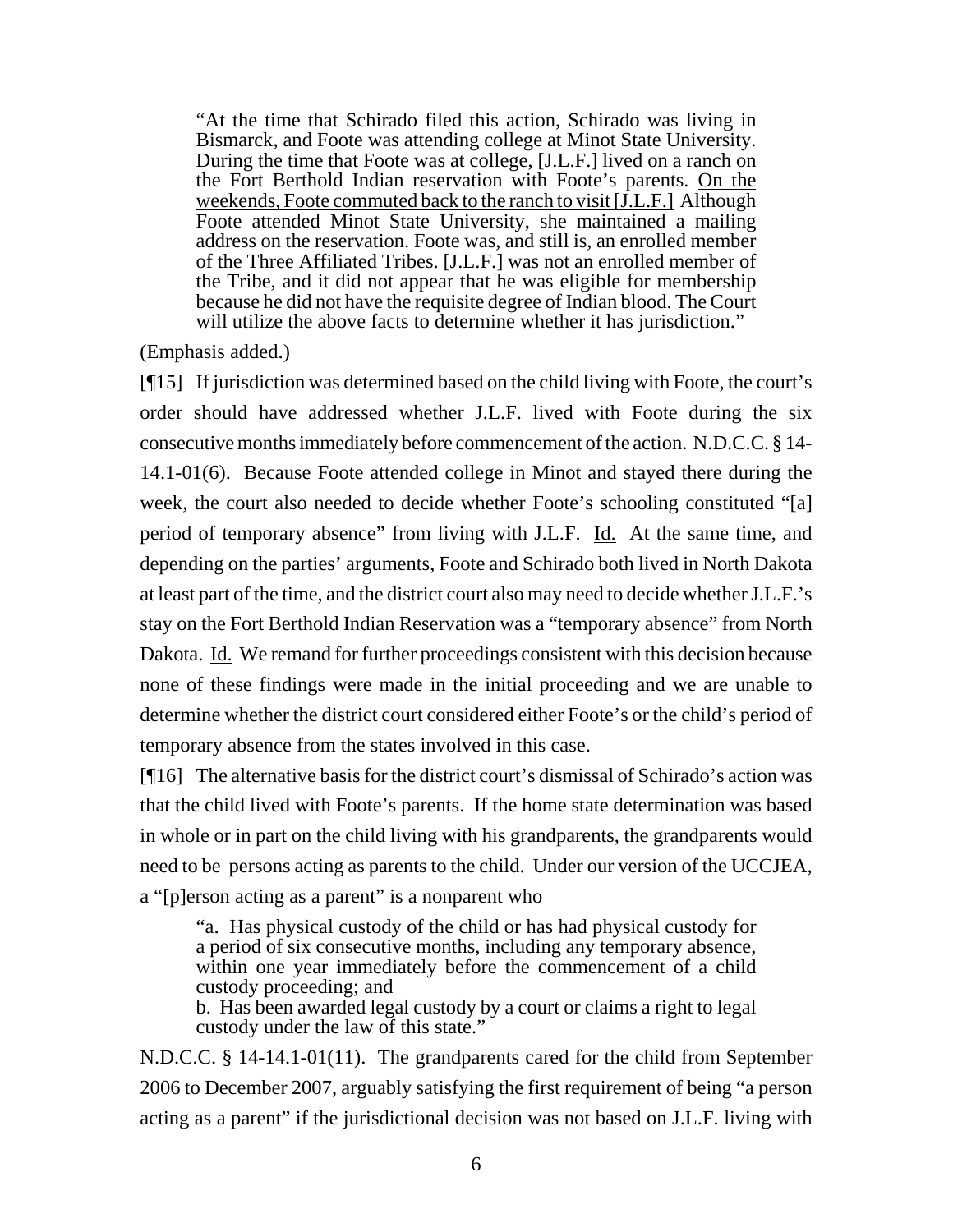"At the time that Schirado filed this action, Schirado was living in Bismarck, and Foote was attending college at Minot State University. During the time that Foote was at college, [J.L.F.] lived on a ranch on the Fort Berthold Indian reservation with Foote's parents. On the weekends, Foote commuted back to the ranch to visit [J.L.F.] Although Foote attended Minot State University, she maintained a mailing address on the reservation. Foote was, and still is, an enrolled member of the Three Affiliated Tribes. [J.L.F.] was not an enrolled member of the Tribe, and it did not appear that he was eligible for membership because he did not have the requisite degree of Indian blood. The Court will utilize the above facts to determine whether it has jurisdiction."

(Emphasis added.)

[¶15] If jurisdiction was determined based on the child living with Foote, the court's order should have addressed whether J.L.F. lived with Foote during the six consecutive months immediately before commencement of the action. N.D.C.C. § 14- 14.1-01(6). Because Foote attended college in Minot and stayed there during the week, the court also needed to decide whether Foote's schooling constituted "[a] period of temporary absence" from living with J.L.F. Id. At the same time, and depending on the parties' arguments, Foote and Schirado both lived in North Dakota at least part of the time, and the district court also may need to decide whether J.L.F.'s stay on the Fort Berthold Indian Reservation was a "temporary absence" from North Dakota. Id. We remand for further proceedings consistent with this decision because none of these findings were made in the initial proceeding and we are unable to determine whether the district court considered either Foote's or the child's period of temporary absence from the states involved in this case.

[¶16] The alternative basis for the district court's dismissal of Schirado's action was that the child lived with Foote's parents. If the home state determination was based in whole or in part on the child living with his grandparents, the grandparents would need to be persons acting as parents to the child. Under our version of the UCCJEA, a "[p]erson acting as a parent" is a nonparent who

"a. Has physical custody of the child or has had physical custody for a period of six consecutive months, including any temporary absence, within one year immediately before the commencement of a child custody proceeding; and

b. Has been awarded legal custody by a court or claims a right to legal custody under the law of this state."

N.D.C.C. § 14-14.1-01(11). The grandparents cared for the child from September 2006 to December 2007, arguably satisfying the first requirement of being "a person acting as a parent" if the jurisdictional decision was not based on J.L.F. living with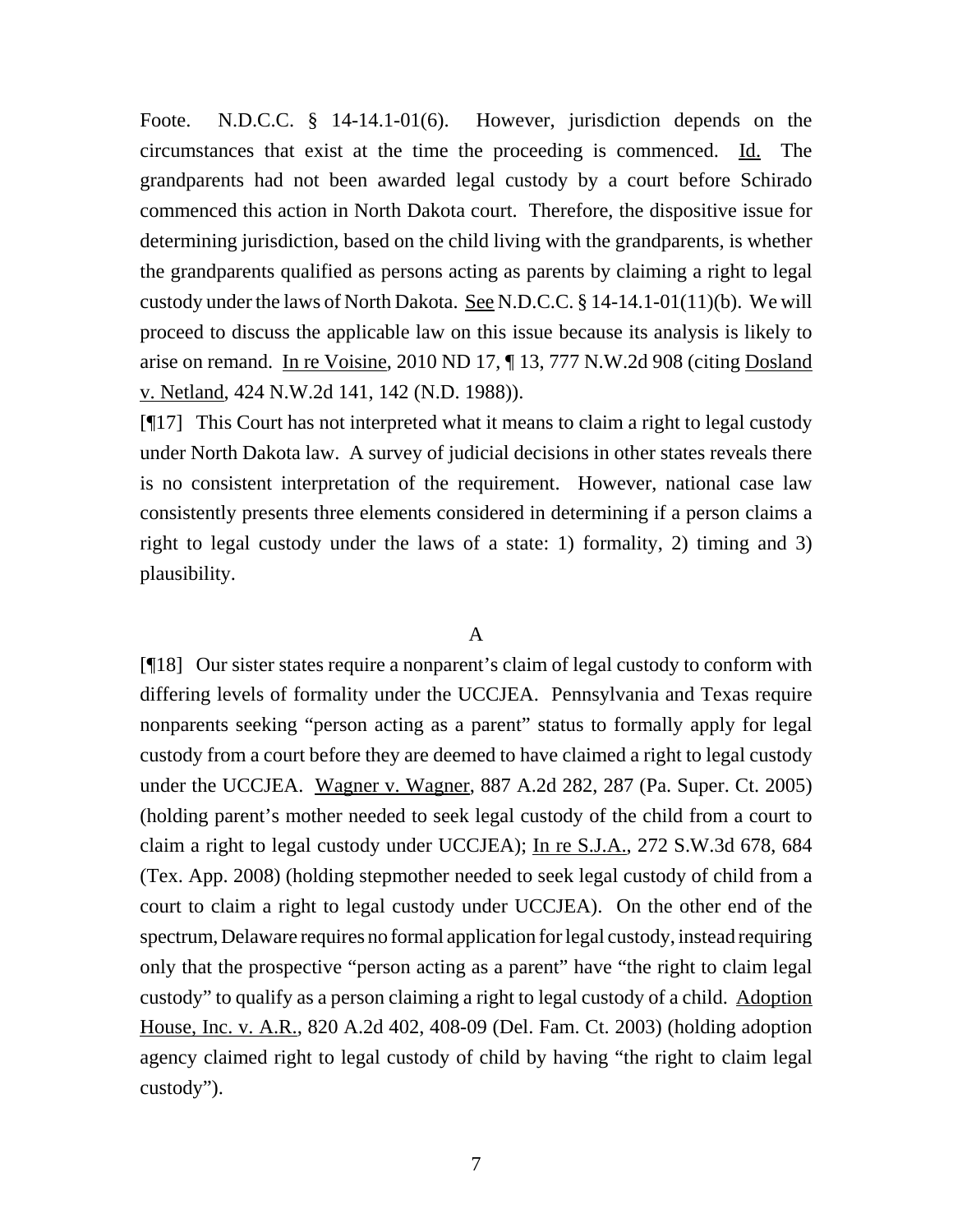Foote. N.D.C.C. § 14-14.1-01(6). However, jurisdiction depends on the circumstances that exist at the time the proceeding is commenced. Id. The grandparents had not been awarded legal custody by a court before Schirado commenced this action in North Dakota court. Therefore, the dispositive issue for determining jurisdiction, based on the child living with the grandparents, is whether the grandparents qualified as persons acting as parents by claiming a right to legal custody under the laws of North Dakota. See N.D.C.C. § 14-14.1-01(11)(b). We will proceed to discuss the applicable law on this issue because its analysis is likely to arise on remand. In re Voisine, 2010 ND 17, ¶ 13, 777 N.W.2d 908 (citing Dosland v. Netland, 424 N.W.2d 141, 142 (N.D. 1988)).

[¶17] This Court has not interpreted what it means to claim a right to legal custody under North Dakota law. A survey of judicial decisions in other states reveals there is no consistent interpretation of the requirement. However, national case law consistently presents three elements considered in determining if a person claims a right to legal custody under the laws of a state: 1) formality, 2) timing and 3) plausibility.

## A

[¶18] Our sister states require a nonparent's claim of legal custody to conform with differing levels of formality under the UCCJEA. Pennsylvania and Texas require nonparents seeking "person acting as a parent" status to formally apply for legal custody from a court before they are deemed to have claimed a right to legal custody under the UCCJEA. Wagner v. Wagner, 887 A.2d 282, 287 (Pa. Super. Ct. 2005) (holding parent's mother needed to seek legal custody of the child from a court to claim a right to legal custody under UCCJEA); In re S.J.A., 272 S.W.3d 678, 684 (Tex. App. 2008) (holding stepmother needed to seek legal custody of child from a court to claim a right to legal custody under UCCJEA). On the other end of the spectrum, Delaware requires no formal application for legal custody, instead requiring only that the prospective "person acting as a parent" have "the right to claim legal custody" to qualify as a person claiming a right to legal custody of a child. Adoption House, Inc. v. A.R., 820 A.2d 402, 408-09 (Del. Fam. Ct. 2003) (holding adoption agency claimed right to legal custody of child by having "the right to claim legal custody").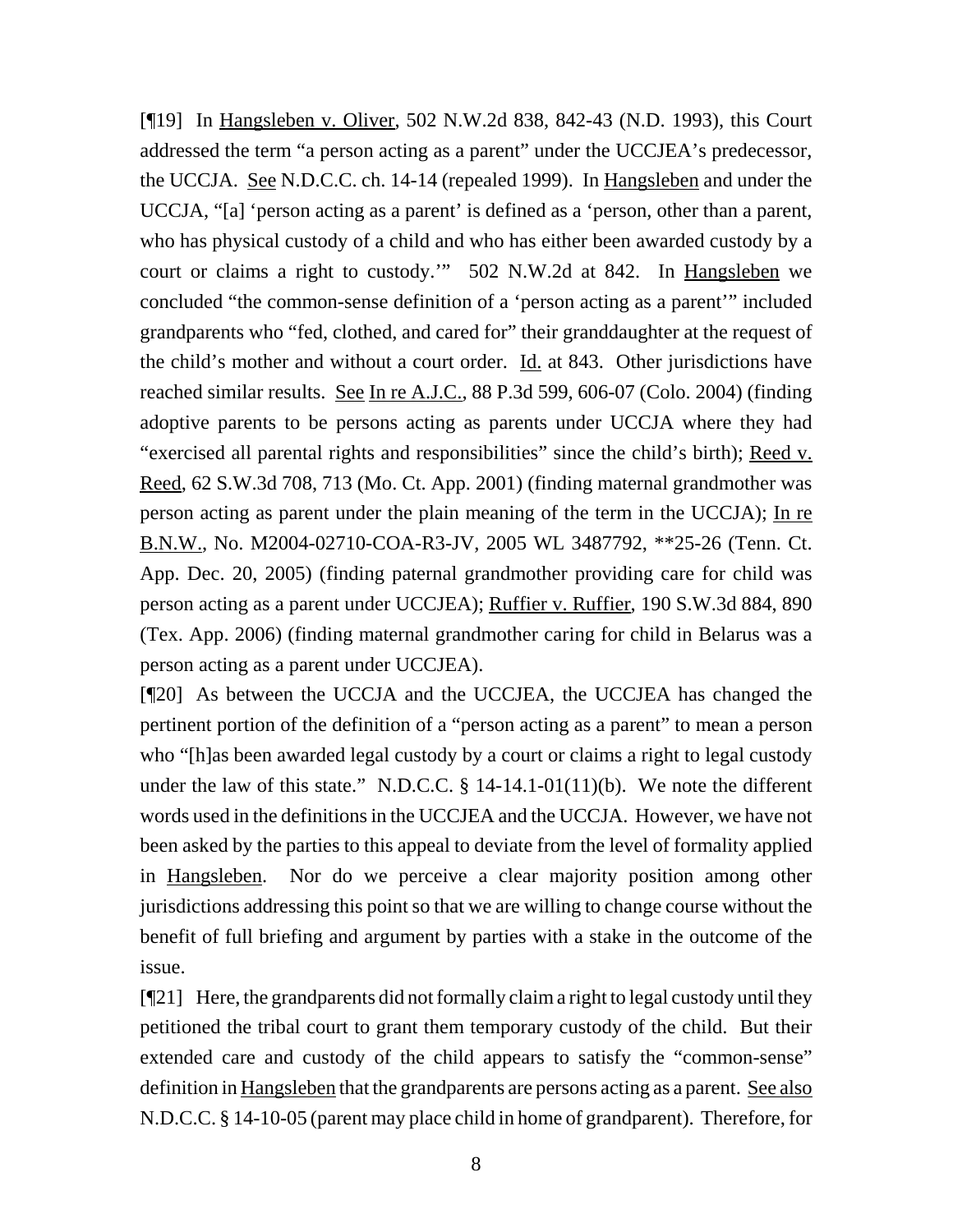[¶19] In Hangsleben v. Oliver, 502 N.W.2d 838, 842-43 (N.D. 1993), this Court addressed the term "a person acting as a parent" under the UCCJEA's predecessor, the UCCJA. See N.D.C.C. ch. 14-14 (repealed 1999). In Hangsleben and under the UCCJA, "[a] 'person acting as a parent' is defined as a 'person, other than a parent, who has physical custody of a child and who has either been awarded custody by a court or claims a right to custody.'" 502 N.W.2d at 842. In Hangsleben we concluded "the common-sense definition of a 'person acting as a parent'" included grandparents who "fed, clothed, and cared for" their granddaughter at the request of the child's mother and without a court order.  $\underline{Id}$  at 843. Other jurisdictions have reached similar results. See In re A.J.C., 88 P.3d 599, 606-07 (Colo. 2004) (finding adoptive parents to be persons acting as parents under UCCJA where they had "exercised all parental rights and responsibilities" since the child's birth); Reed v. Reed, 62 S.W.3d 708, 713 (Mo. Ct. App. 2001) (finding maternal grandmother was person acting as parent under the plain meaning of the term in the UCCJA); In re B.N.W., No. M2004-02710-COA-R3-JV, 2005 WL 3487792, \*\*25-26 (Tenn. Ct. App. Dec. 20, 2005) (finding paternal grandmother providing care for child was person acting as a parent under UCCJEA); Ruffier v. Ruffier, 190 S.W.3d 884, 890 (Tex. App. 2006) (finding maternal grandmother caring for child in Belarus was a person acting as a parent under UCCJEA).

[¶20] As between the UCCJA and the UCCJEA, the UCCJEA has changed the pertinent portion of the definition of a "person acting as a parent" to mean a person who "[h]as been awarded legal custody by a court or claims a right to legal custody under the law of this state." N.D.C.C.  $\S$  14-14.1-01(11)(b). We note the different words used in the definitions in the UCCJEA and the UCCJA. However, we have not been asked by the parties to this appeal to deviate from the level of formality applied in Hangsleben. Nor do we perceive a clear majority position among other jurisdictions addressing this point so that we are willing to change course without the benefit of full briefing and argument by parties with a stake in the outcome of the issue.

[¶21] Here, the grandparents did not formally claim a right to legal custody until they petitioned the tribal court to grant them temporary custody of the child. But their extended care and custody of the child appears to satisfy the "common-sense" definition in Hangsleben that the grandparents are persons acting as a parent. See also N.D.C.C. § 14-10-05 (parent may place child in home of grandparent). Therefore, for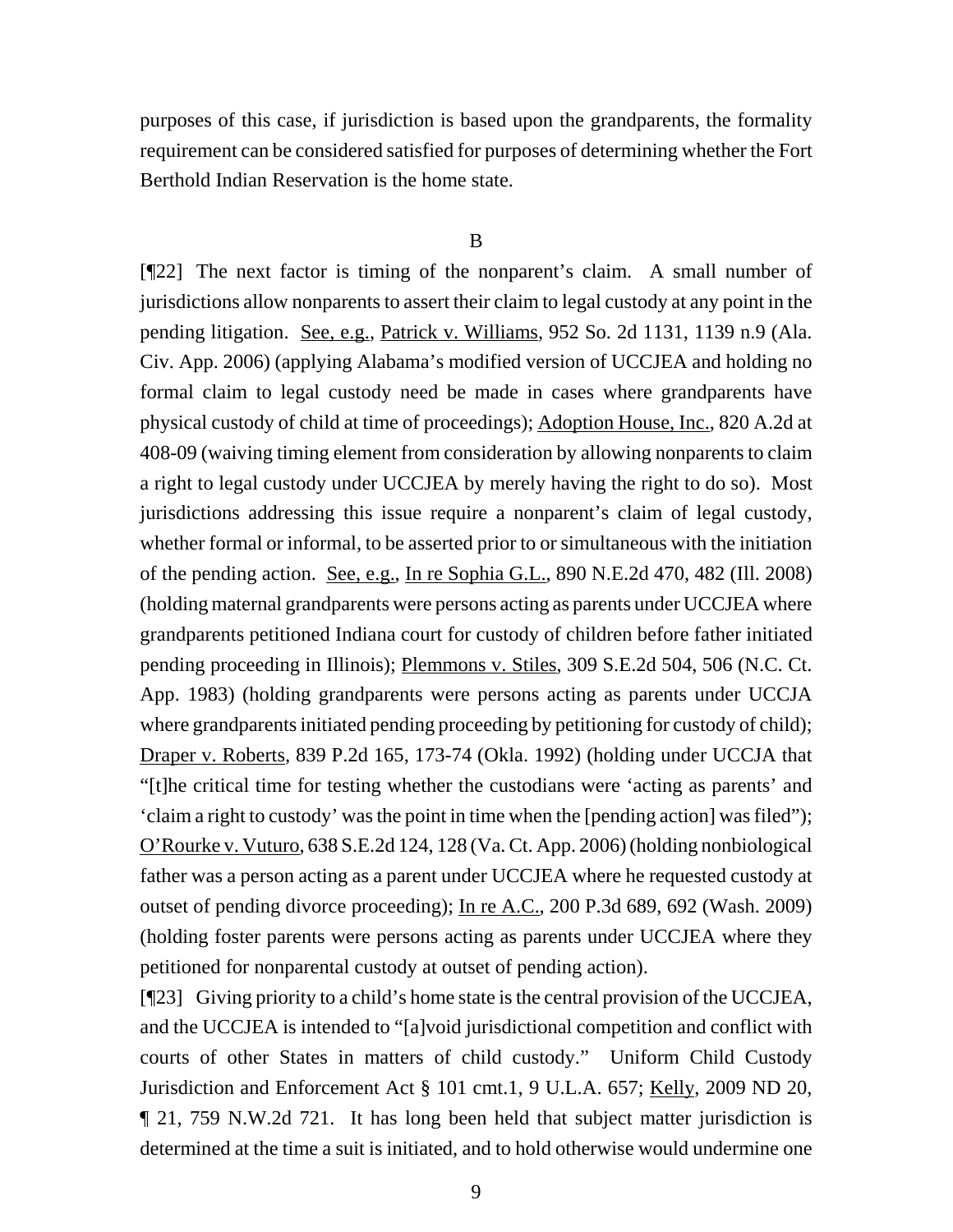purposes of this case, if jurisdiction is based upon the grandparents, the formality requirement can be considered satisfied for purposes of determining whether the Fort Berthold Indian Reservation is the home state.

#### B

[¶22] The next factor is timing of the nonparent's claim. A small number of jurisdictions allow nonparents to assert their claim to legal custody at any point in the pending litigation. See, e.g., Patrick v. Williams, 952 So. 2d 1131, 1139 n.9 (Ala. Civ. App. 2006) (applying Alabama's modified version of UCCJEA and holding no formal claim to legal custody need be made in cases where grandparents have physical custody of child at time of proceedings); Adoption House, Inc., 820 A.2d at 408-09 (waiving timing element from consideration by allowing nonparents to claim a right to legal custody under UCCJEA by merely having the right to do so). Most jurisdictions addressing this issue require a nonparent's claim of legal custody, whether formal or informal, to be asserted prior to or simultaneous with the initiation of the pending action. See, e.g., In re Sophia G.L., 890 N.E.2d 470, 482 (Ill. 2008) (holding maternal grandparents were persons acting as parents under UCCJEA where grandparents petitioned Indiana court for custody of children before father initiated pending proceeding in Illinois); Plemmons v. Stiles, 309 S.E.2d 504, 506 (N.C. Ct. App. 1983) (holding grandparents were persons acting as parents under UCCJA where grandparents initiated pending proceeding by petitioning for custody of child); Draper v. Roberts, 839 P.2d 165, 173-74 (Okla. 1992) (holding under UCCJA that "[t]he critical time for testing whether the custodians were 'acting as parents' and 'claim a right to custody' was the point in time when the [pending action] was filed"); O'Rourke v. Vuturo, 638 S.E.2d 124, 128 (Va. Ct. App. 2006) (holding nonbiological father was a person acting as a parent under UCCJEA where he requested custody at outset of pending divorce proceeding); In re A.C., 200 P.3d 689, 692 (Wash. 2009) (holding foster parents were persons acting as parents under UCCJEA where they petitioned for nonparental custody at outset of pending action).

[¶23] Giving priority to a child's home state is the central provision of the UCCJEA, and the UCCJEA is intended to "[a]void jurisdictional competition and conflict with courts of other States in matters of child custody." Uniform Child Custody Jurisdiction and Enforcement Act § 101 cmt.1, 9 U.L.A. 657; Kelly, 2009 ND 20, ¶ 21, 759 N.W.2d 721. It has long been held that subject matter jurisdiction is determined at the time a suit is initiated, and to hold otherwise would undermine one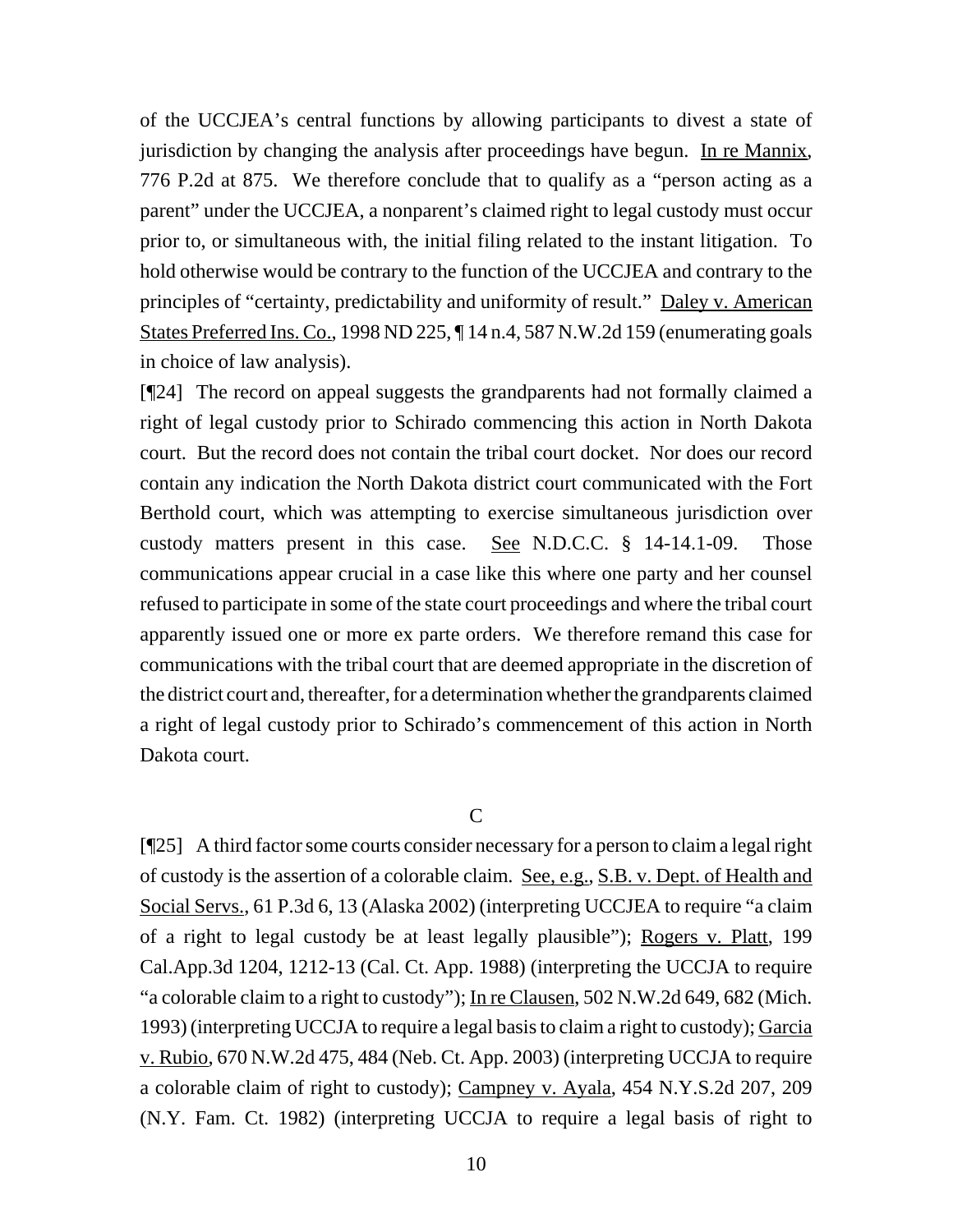of the UCCJEA's central functions by allowing participants to divest a state of jurisdiction by changing the analysis after proceedings have begun. In re Mannix, 776 P.2d at 875. We therefore conclude that to qualify as a "person acting as a parent" under the UCCJEA, a nonparent's claimed right to legal custody must occur prior to, or simultaneous with, the initial filing related to the instant litigation. To hold otherwise would be contrary to the function of the UCCJEA and contrary to the principles of "certainty, predictability and uniformity of result." Daley v. American States Preferred Ins. Co., 1998 ND 225, ¶ 14 n.4, 587 N.W.2d 159 (enumerating goals in choice of law analysis).

[¶24] The record on appeal suggests the grandparents had not formally claimed a right of legal custody prior to Schirado commencing this action in North Dakota court. But the record does not contain the tribal court docket. Nor does our record contain any indication the North Dakota district court communicated with the Fort Berthold court, which was attempting to exercise simultaneous jurisdiction over custody matters present in this case. See N.D.C.C. § 14-14.1-09. Those communications appear crucial in a case like this where one party and her counsel refused to participate in some of the state court proceedings and where the tribal court apparently issued one or more ex parte orders. We therefore remand this case for communications with the tribal court that are deemed appropriate in the discretion of the district court and, thereafter, for a determination whether the grandparents claimed a right of legal custody prior to Schirado's commencement of this action in North Dakota court.

### $\overline{C}$

[¶25] A third factor some courts consider necessary for a person to claim a legal right of custody is the assertion of a colorable claim. See, e.g., S.B. v. Dept. of Health and Social Servs., 61 P.3d 6, 13 (Alaska 2002) (interpreting UCCJEA to require "a claim of a right to legal custody be at least legally plausible"); Rogers v. Platt, 199 Cal.App.3d 1204, 1212-13 (Cal. Ct. App. 1988) (interpreting the UCCJA to require "a colorable claim to a right to custody"); In re Clausen, 502 N.W.2d 649, 682 (Mich. 1993) (interpreting UCCJA to require a legal basis to claim a right to custody); Garcia v. Rubio, 670 N.W.2d 475, 484 (Neb. Ct. App. 2003) (interpreting UCCJA to require a colorable claim of right to custody); Campney v. Ayala, 454 N.Y.S.2d 207, 209 (N.Y. Fam. Ct. 1982) (interpreting UCCJA to require a legal basis of right to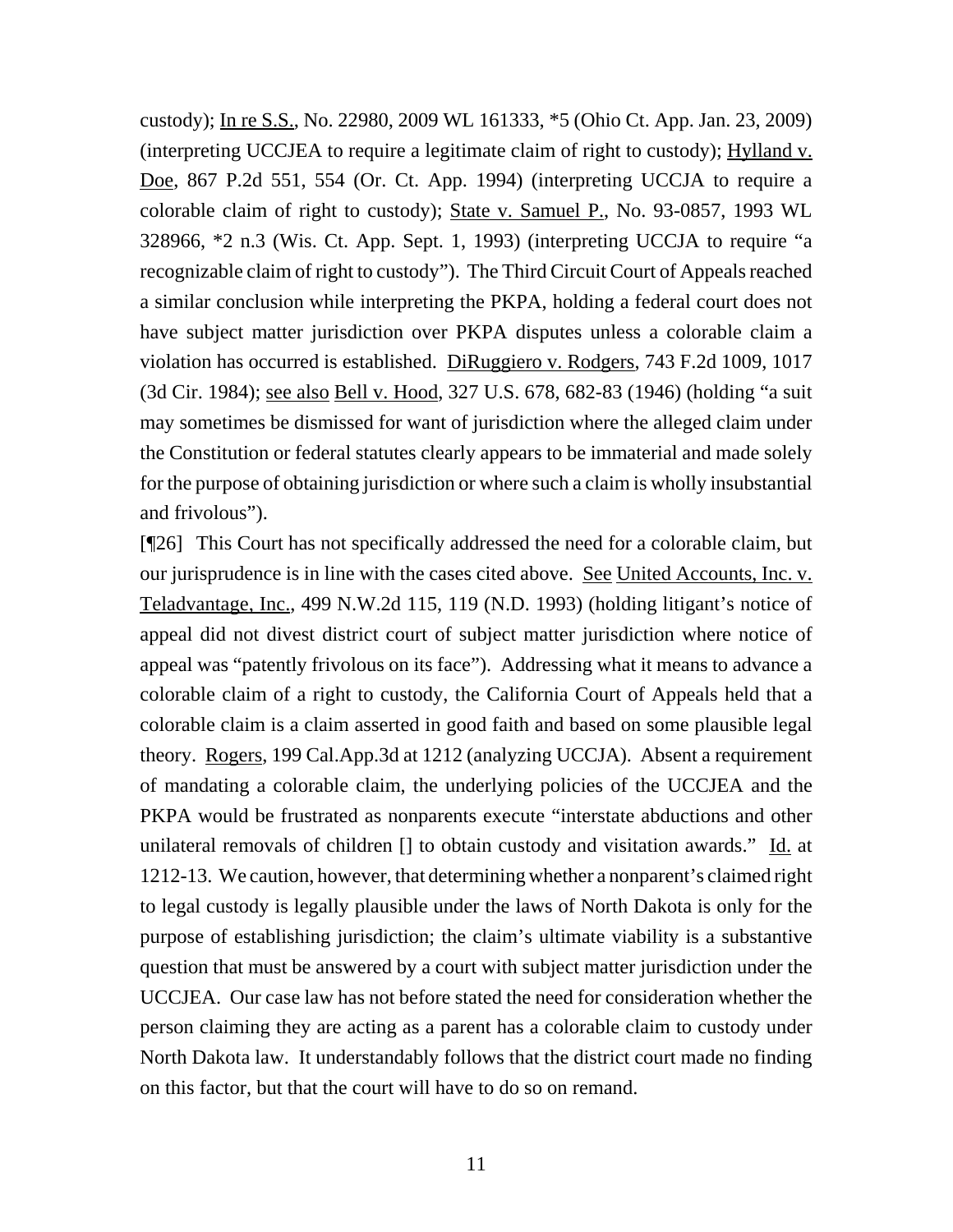custody); In re S.S., No. 22980, 2009 WL 161333, \*5 (Ohio Ct. App. Jan. 23, 2009) (interpreting UCCJEA to require a legitimate claim of right to custody); Hylland v. Doe, 867 P.2d 551, 554 (Or. Ct. App. 1994) (interpreting UCCJA to require a colorable claim of right to custody); State v. Samuel P., No. 93-0857, 1993 WL 328966, \*2 n.3 (Wis. Ct. App. Sept. 1, 1993) (interpreting UCCJA to require "a recognizable claim of right to custody"). The Third Circuit Court of Appeals reached a similar conclusion while interpreting the PKPA, holding a federal court does not have subject matter jurisdiction over PKPA disputes unless a colorable claim a violation has occurred is established. DiRuggiero v. Rodgers, 743 F.2d 1009, 1017 (3d Cir. 1984); see also Bell v. Hood, 327 U.S. 678, 682-83 (1946) (holding "a suit may sometimes be dismissed for want of jurisdiction where the alleged claim under the Constitution or federal statutes clearly appears to be immaterial and made solely for the purpose of obtaining jurisdiction or where such a claim is wholly insubstantial and frivolous").

[¶26] This Court has not specifically addressed the need for a colorable claim, but our jurisprudence is in line with the cases cited above. See United Accounts, Inc. v. Teladvantage, Inc., 499 N.W.2d 115, 119 (N.D. 1993) (holding litigant's notice of appeal did not divest district court of subject matter jurisdiction where notice of appeal was "patently frivolous on its face"). Addressing what it means to advance a colorable claim of a right to custody, the California Court of Appeals held that a colorable claim is a claim asserted in good faith and based on some plausible legal theory. Rogers, 199 Cal.App.3d at 1212 (analyzing UCCJA). Absent a requirement of mandating a colorable claim, the underlying policies of the UCCJEA and the PKPA would be frustrated as nonparents execute "interstate abductions and other unilateral removals of children [] to obtain custody and visitation awards." Id. at 1212-13. We caution, however, that determining whether a nonparent's claimed right to legal custody is legally plausible under the laws of North Dakota is only for the purpose of establishing jurisdiction; the claim's ultimate viability is a substantive question that must be answered by a court with subject matter jurisdiction under the UCCJEA. Our case law has not before stated the need for consideration whether the person claiming they are acting as a parent has a colorable claim to custody under North Dakota law. It understandably follows that the district court made no finding on this factor, but that the court will have to do so on remand.